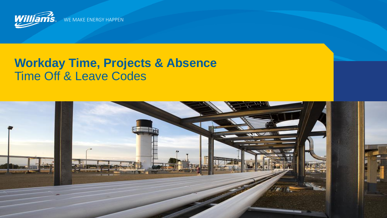

WE MAKE ENERGY HAPPEN

## **Workday Time, Projects & Absence** Time Off & Leave Codes

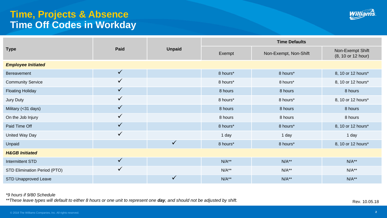## **Time, Projects & Absence Time Off Codes in Workday**



|                              | Paid         | <b>Unpaid</b> | <b>Time Defaults</b> |                       |                                        |  |  |
|------------------------------|--------------|---------------|----------------------|-----------------------|----------------------------------------|--|--|
| <b>Type</b>                  |              |               | Exempt               | Non-Exempt, Non-Shift | Non-Exempt Shift<br>(8, 10 or 12 hour) |  |  |
| <b>Employee Initiated</b>    |              |               |                      |                       |                                        |  |  |
| Bereavement                  | $\checkmark$ |               | 8 hours*             | 8 hours*              | 8, 10 or 12 hours*                     |  |  |
| <b>Community Service</b>     | $\checkmark$ |               | 8 hours*             | 8 hours*              | 8, 10 or 12 hours*                     |  |  |
| <b>Floating Holiday</b>      | $\checkmark$ |               | 8 hours              | 8 hours               | 8 hours                                |  |  |
| Jury Duty                    | $\checkmark$ |               | 8 hours*             | 8 hours*              | 8, 10 or 12 hours*                     |  |  |
| Military (< 31 days)         | $\checkmark$ |               | 8 hours              | 8 hours               | 8 hours                                |  |  |
| On the Job Injury            | $\checkmark$ |               | 8 hours              | 8 hours               | 8 hours                                |  |  |
| Paid Time Off                | $\checkmark$ |               | 8 hours*             | 8 hours*              | 8, 10 or 12 hours*                     |  |  |
| United Way Day               | $\checkmark$ |               | 1 day                | 1 day                 | 1 day                                  |  |  |
| Unpaid                       |              | $\checkmark$  | 8 hours*             | 8 hours*              | 8, 10 or 12 hours*                     |  |  |
| <b>H&amp;GB Initiated</b>    |              |               |                      |                       |                                        |  |  |
| Intermittent STD             | $\checkmark$ |               | $N/A**$              | $N/A**$               | $N/A**$                                |  |  |
| STD Elimination Period (PTO) | $\checkmark$ |               | $N/A**$              | $N/A**$               | $N/A**$                                |  |  |
| <b>STD Unapproved Leave</b>  |              |               | $N/A**$              | $N/A**$               | $N/A**$                                |  |  |

## *\*9 hours if 9/80 Schedule*

\*\*These leave types will default to either 8 hours or one unit to represent one **day**, and should not be adjusted by shift.